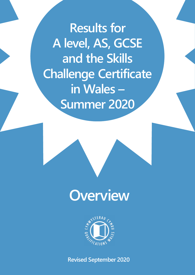**Results for A level, AS, GCSE and the Skills Challenge Certificate in Wales – Summer 2020**







**Revised September 2020**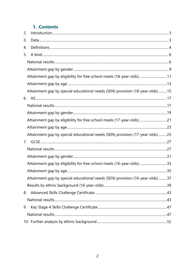# 1. Contents

| 2. |                                                                              |  |
|----|------------------------------------------------------------------------------|--|
| 3. |                                                                              |  |
| 4. |                                                                              |  |
| 5. |                                                                              |  |
|    |                                                                              |  |
|    |                                                                              |  |
|    | Attainment gap by eligibility for free school meals (18-year-olds)11         |  |
|    |                                                                              |  |
|    | Attainment gap by special educational needs (SEN) provision (18-year-olds)15 |  |
| 6. |                                                                              |  |
|    |                                                                              |  |
|    |                                                                              |  |
|    | Attainment gap by eligibility for free school meals (17-year-olds)21         |  |
|    |                                                                              |  |
|    | Attainment gap by special educational needs (SEN) provision (17-year-olds)25 |  |
| 7. |                                                                              |  |
|    |                                                                              |  |
|    |                                                                              |  |
|    | Attainment gap by eligibility for free school meals (16-year-olds)33         |  |
|    |                                                                              |  |
|    | Attainment gap by special educational needs (SEN) provision (16-year-olds)37 |  |
|    |                                                                              |  |
| 8. |                                                                              |  |
|    |                                                                              |  |
| 9. |                                                                              |  |
|    |                                                                              |  |
|    |                                                                              |  |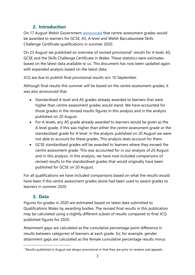# **2. Introduction**

<span id="page-2-0"></span>On 17 August Welsh Government [announced](https://gov.wales/statement-minister-education-kirsty-williams) that centre assessment grades would be awarded to learners for GCSE, AS, A level and Welsh Baccalaureate Skills Challenge Certificate qualifications in summer 2020.

On 23 August we published an overview of revised provisional<sup>1</sup> results for A level, AS, GCSE and the Skills Challenge Certificate in Wales. These statistics were estimates based on the latest data available to us. This document has now been updated again with expanded analysis based on the latest data.

JCQ are due to publish final provisional results w/c 10 September.

Although final results this summer will be based on the centre assessment grades, it was also announced that:

- Standardised A level and AS grades already awarded to learners that were higher than centre assessment grades would stand. We have accounted for those grades in the revised results figures in this analysis and in the analysis published on 20 August.
- For A levels, any AS grade already awarded to learners would be given as the A level grade, if this was higher than either the centre assessment grade or the standardised grade for A level. In the analysis published on 20 August we were not able to account for these grades. This analysis does account for them.
- GCSE standardised grades will be awarded to learners where they exceed the centre assessment grade. This was accounted for in our analysis of 20 August and in this analysis. In this analysis, we have now included comparisons of revised results to the standardised grades that would originally have been published for GCSE on 20 August.

For all qualifications we have included comparisons based on what the results would have been if the centre assessment grades alone had been used to award grades to learners in summer 2020.

# **3. Data**

<span id="page-2-1"></span>Figures for grades in 2020 are estimated based on latest data submitted to Qualifications Wales by awarding bodies. The revised final results in this publication may be calculated using a slightly different subset of results compared to final JCQ published figures for 2020.

Attainment gaps are calculated as the cumulative percentage point difference in results between categories of learners at each grade. So, for example, gender attainment gaps are calculated as the female cumulative percentage results minus

 $1$  Results published in August are always provisional in that they are prior to reviews and appeals.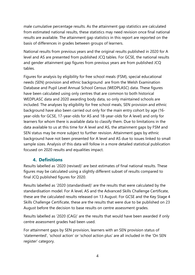male cumulative percentage results. As the attainment gap statistics are calculated from estimated national results, these statistics may need revision once final national results are available. The attainment gap statistics in this report are reported on the basis of differences in grades between groups of learners.

National results from previous years and the original results published in 2020 for A level and AS are presented from published JCQ tables. For GCSE, the national results and gender attainment gap figures from previous years are from published JCQ tables.

Figures for analysis by eligibility for free school meals (FSM), special educational needs (SEN) provision and ethnic background are from the Welsh Examination Database and Pupil Level Annual School Census (WEDPLASC) data. These figures have been calculated using only centres that are common to both historical WEDPLASC data and 2020 awarding body data, so only maintained schools are included. The analyses by eligibility for free school meals, SEN provision and ethnic background have also been carried out only for the main entry cohort by age (16 year-olds for GCSE, 17-year-olds for AS and 18-year-olds for A level) and only for learners for whom there is available data to classify them. Due to limitations in the data available to us at this time for A level and AS, the attainment gaps by FSM and SEN status may be more subject to further revision. Attainment gaps by ethnic background have not been presented for A level and AS due to issues linked to small sample sizes. Analysis of this data will follow in a more detailed statistical publication focused on 2020 results and equalities impact.

## **4. Definitions**

<span id="page-3-0"></span>Results labelled as '2020 (revised)' are best estimates of final national results. These figures may be calculated using a slightly different subset of results compared to final JCQ published figures for 2020.

Results labelled as '2020 (standardised)' are the results that were calculated by the standardisation model. For A level, AS and the Advanced Skills Challenge Certificate, these are the calculated results released on 13 August. For GCSE and the Key Stage 4 Skills Challenge Certificate, these are the results that were due to be published on 23 August before the decision to base results on centre assessment grades.

Results labelled as '2020 (CAG)' are the results that would have been awarded if only centre assessment grades had been used.

For attainment gaps by SEN provision, learners with an SEN provision status of 'statemented', 'school action' or 'school action plus' are all included in the 'On SEN register' category.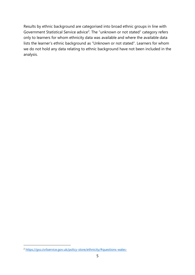Results by ethnic background are categorised into broad ethnic groups in line with Government Statistical Service advice<sup>2</sup>. The "unknown or not stated" category refers only to learners for whom ethnicity data was available and where the available data lists the learner's ethnic background as "Unknown or not stated". Learners for whom we do not hold any data relating to ethnic background have not been included in the analysis.

<sup>2</sup> <https://gss.civilservice.gov.uk/policy-store/ethnicity/#questions-wales->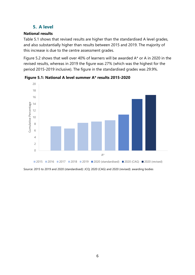# **5. A level**

## <span id="page-5-1"></span><span id="page-5-0"></span>**National results**

Table 5.1 shows that revised results are higher than the standardised A level grades, and also substantially higher than results between 2015 and 2019. The majority of this increase is due to the centre assessment grades.

Figure 5.2 shows that well over 40% of learners will be awarded A\* or A in 2020 in the revised results, whereas in 2019 the figure was 27% (which was the highest for the period 2015-2019 inclusive). The figure in the standardised grades was 29.9%.



**Figure 5.1: National A level summer A\* results 2015-2020**

Source: 2015 to 2019 and 2020 (standardised): JCQ; 2020 (CAG) and 2020 (revised): awarding bodies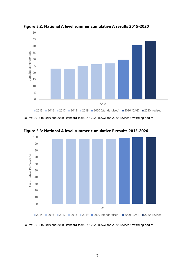

**Figure 5.2: National A level summer cumulative A results 2015-2020**

Source: 2015 to 2019 and 2020 (standardised): JCQ; 2020 (CAG) and 2020 (revised): awarding bodies



**Figure 5.3: National A level summer cumulative E results 2015-2020**

Source: 2015 to 2019 and 2020 (standardised): JCQ; 2020 (CAG) and 2020 (revised): awarding bodies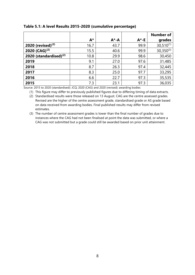|                                    |       |           |          | <b>Number of</b> |
|------------------------------------|-------|-----------|----------|------------------|
|                                    | $A^*$ | $A^* - A$ | $A^*$ -E | grades           |
| 2020 (revised) $(2)$               | 16.7  | 43.7      | 99.9     | $30,510^{(1)}$   |
| 2020 (CAG) <sup>(2)</sup>          | 15.5  | 40.6      | 99.9     | $30,350^{(3)}$   |
| 2020 (standardised) <sup>(2)</sup> | 10.8  | 29.9      | 98.6     | 30,450           |
| 2019                               | 9.1   | 27.0      | 97.6     | 31,485           |
| 2018                               | 8.7   | 26.3      | 97.4     | 32,445           |
| 2017                               | 8.3   | 25.0      | 97.7     | 33,295           |
| 2016                               | 6.6   | 22.7      | 97.3     | 35,535           |
| 2015                               | 7.3   | 23.1      | 97.3     | 36,035           |

#### **Table 5.1: A level Results 2015-2020 (cumulative percentage)**

Source: 2015 to 2020 (standardised): JCQ; 2020 (CAG) and 2020 (revised): awarding bodies

(1) This figure may differ to previously published figures due to differing timing of data extracts.

(2) Standardised results were those released on 13 August. CAG are the centre assessed grades. Revised are the higher of the centre assessment grade, standardised grade or AS grade based on data received from awarding bodies. Final published results may differ from revised estimates.

(3) The number of centre assessment grades is lower than the final number of grades due to instances where the CAG had not been finalised at point the data was submitted, or where a CAG was not submitted but a grade could still be awarded based on prior unit attainment.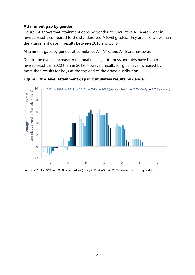#### <span id="page-8-0"></span>**Attainment gap by gender**

Figure 5.4 shows that attainment gaps by gender at cumulative A\*-A are wider in revised results compared to the standardised A level grades. They are also wider than the attainment gaps in results between 2015 and 2019.

Attainment gaps by gender at cumulative  $A^*$ ,  $A^*$ -C and  $A^*$ -E are narrower.

Due to the overall increase in national results, both boys and girls have higher revised results in 2020 than in 2019. However, results for girls have increased by more than results for boys at the top end of the grade distribution.



**Figure 5.4: A level attainment gap in cumulative results by gender**

Source: 2015 to 2019 and 2020 (standardised): JCQ; 2020 (CAG) and 2020 (revised): awarding bodies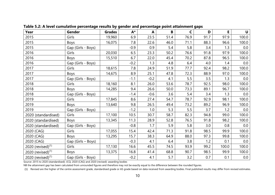| Year                          | Gender             | <b>Grades</b> | $A^*$  | A      | B    | C    | D    | Е     | U     |
|-------------------------------|--------------------|---------------|--------|--------|------|------|------|-------|-------|
| 2015                          | Girls              | 19,960        | 6.9    | 23.5   | 51.4 | 76.9 | 91.7 | 97.9  | 100.0 |
| 2015                          | <b>Boys</b>        | 16,075        | 7.8    | 22.6   | 46.0 | 71.1 | 88.3 | 96.6  | 100.0 |
| 2015                          | Gap (Girls - Boys) |               | $-0.9$ | 0.9    | 5.4  | 5.8  | 3.4  | 1.3   | 0.0   |
| 2016                          | Girls              | 20,030        | 6.5    | 23.3   | 50.2 | 76.6 | 91.8 | 97.9  | 100.0 |
| 2016                          | <b>Boys</b>        | 15,510        | 6.7    | 22.0   | 45.4 | 70.2 | 87.8 | 96.5  | 100.0 |
| 2016                          | Gap (Girls - Boys) |               | $-0.2$ | 1.3    | 4.8  | 6.4  | 4.0  | 1.4   | 0.0   |
| 2017                          | Girls              | 18,615        | 7.8    | 24.9   | 51.9 | 77.7 | 92.4 | 98.2  | 100.0 |
| 2017                          | Boys               | 14,675        | 8.9    | 25.1   | 47.8 | 72.3 | 88.9 | 97.0  | 100.0 |
| 2017                          | Gap (Girls - Boys) |               | $-1.1$ | $-0.2$ | 4.1  | 5.5  | 3.5  | 1.3   | 0.0   |
| 2018                          | Girls              | 18,160        | 8.1    | 26.0   | 53.6 | 78.7 | 92.5 | 98.0  | 100.0 |
| 2018                          | Boys               | 14,285        | 9.4    | 26.6   | 50.0 | 73.3 | 89.1 | 96.7  | 100.0 |
| 2018                          | Gap (Girls - Boys) |               | $-1.4$ | $-0.6$ | 3.6  | 5.4  | 3.4  | 1.3   | 0.0   |
| 2019                          | Girls              | 17,845        | 8.6    | 27.4   | 54.7 | 78.7 | 92.9 | 98.1  | 100.0 |
| 2019                          | Boys               | 13,640        | 9.8    | 26.5   | 49.4 | 73.2 | 89.2 | 96.9  | 100.0 |
| 2019                          | Gap (Girls - Boys) |               | $-1.2$ | 1.0    | 5.3  | 5.5  | 3.7  | 1.2   | 0.0   |
| 2020 (standardised)           | Girls              | 17,100        | 10.5   | 30.7   | 58.7 | 82.3 | 94.8 | 99.0  | 100.0 |
| 2020 (standardised)           | Boys               | 13,345        | 11.3   | 28.9   | 52.8 | 76.5 | 91.8 | 98.2  | 100.0 |
| 2020 (standardised)           | Gap (Girls - Boys) |               | $-0.8$ | 1.7    | 5.9  | 5.8  | 3.0  | 0.8   | 0.0   |
| 2020 (CAG)                    | Girls              | 17,055        | 15.4   | 42.4   | 71.3 | 91.8 | 98.5 | 99.9  | 100.0 |
| 2020 (CAG)                    | Boys               | 13,295        | 15.7   | 38.3   | 64.9 | 88.0 | 97.3 | 99.8  | 100.0 |
| 2020 (CAG)                    | Gap (Girls – Boys) |               | $-0.3$ | 4.1    | 6.4  | 3.8  | 1.2  | 0.1   | 0.0   |
| 2020 (revised) <sup>(1)</sup> | Girls              | 17,130        | 16.6   | 45.5   | 74.5 | 93.9 | 99.2 | 100.0 | 100.0 |
| 2020 (revised) $(1)$          | Boys               | 13,375        | 16.8   | 41.4   | 68.8 | 90.7 | 98.5 | 99.9  | 100.0 |
| 2020 (revised) $(1)$          | Gap (Girls - Boys) |               | $-0.2$ | 4.1    | 5.7  | 3.2  | 0.7  | 0.1   | 0.0   |

**Table 5.2: A level cumulative percentage results by gender and percentage point attainment gaps** 

Source: 2015 to 2020 (standardised): JCQ; 2020 (CAG) and 2020 (revised): awarding bodies

NB the attainment gap has been calculated from unrounded figures and therefore may not be exactly equal to the difference between the rounded figures.

(1) Revised are the higher of the centre assessment grade, standardised grade or AS grade based on data received from awarding bodies. Final published results may differ from revised estimates.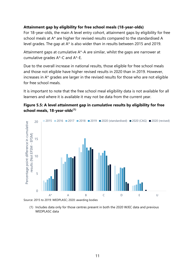## <span id="page-10-0"></span>**Attainment gap by eligibility for free school meals (18-year-olds)**

For 18-year-olds, the main A level entry cohort, attainment gaps by eligibility for free school meals at A\* are higher for revised results compared to the standardised A level grades. The gap at A\* is also wider than in results between 2015 and 2019.

Attainment gaps at cumulative A\*-A are similar, whilst the gaps are narrower at cumulative grades A\*-C and A\*-E.

Due to the overall increase in national results, those eligible for free school meals and those not eligible have higher revised results in 2020 than in 2019. However, increases in A\* grades are larger in the revised results for those who are not eligible for free school meals.

It is important to note that the free school meal eligibility data is not available for all learners and where it is available it may not be data from the current year.

## **Figure 5.5: A level attainment gap in cumulative results by eligibility for free school meals, 18-year-olds(1)**



Source: 2015 to 2019: WEDPLASC; 2020: awarding bodies

(1) Includes data only for those centres present in both the 2020 WJEC data and previous WEDPLASC data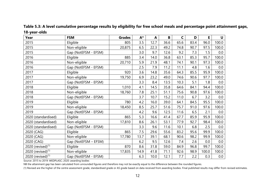| Year                          | <b>FSM</b>           | <b>Grades</b> | $A^*$ | A    | B    | $\mathsf{C}$ | D    | E.    | U     |
|-------------------------------|----------------------|---------------|-------|------|------|--------------|------|-------|-------|
| 2015                          | Eligible             | 805           | 3.5   | 12.7 | 36.6 | 65.6         | 83.4 | 96.0  | 100.0 |
| 2015                          | Non-eligible         | 20,875        | 6.5   | 22.3 | 49.2 | 74.8         | 90.7 | 97.5  | 100.0 |
| 2015                          | Gap (NotEFSM - EFSM) |               | 3.0   | 9.7  | 12.6 | 9.2          | 7.3  | 1.5   | 0.0   |
| 2016                          | Eligible             | 885           | 3.4   | 14.0 | 36.8 | 63.1         | 85.3 | 95.7  | 100.0 |
| 2016                          | Non-eligible         | 20,710        | 5.9   | 21.9 | 48.1 | 74.1         | 90.1 | 97.3  | 100.0 |
| 2016                          | Gap (NotEFSM - EFSM) |               | 2.5   | 7.9  | 11.2 | 11.1         | 4.8  | 1.6   | 0.0   |
| 2017                          | Eligible             | 920           | 3.6   | 14.8 | 35.6 | 64.3         | 85.5 | 95.9  | 100.0 |
| 2017                          | Non-eligible         | 19,750        | 6.9   | 23.2 | 49.0 | 74.6         | 90.6 | 97.7  | 100.0 |
| 2017                          | Gap (NotEFSM - EFSM) |               | 3.3   | 8.4  | 13.5 | 10.3         | 5.1  | 1.8   | 0.0   |
| 2018                          | Eligible             | 1,010         | 4.1   | 14.5 | 35.8 | 64.6         | 84.1 | 94.4  | 100.0 |
| 2018                          | Non-eligible         | 18,760        | 7.8   | 25.1 | 51.1 | 75.6         | 90.8 | 97.6  | 100.0 |
| 2018                          | Gap (NotEFSM - EFSM) |               | 3.7   | 10.7 | 15.2 | 11.0         | 6.7  | 3.2   | 0.0   |
| 2019                          | Eligible             | 780           | 4.2   | 16.0 | 39.0 | 64.1         | 84.5 | 95.5  | 100.0 |
| 2019                          | Non-eligible         | 18,450        | 8.5   | 25.7 | 51.6 | 75.7         | 91.0 | 97.6  | 100.0 |
| 2019                          | Gap (NotEFSM - EFSM) |               | 4.2   | 9.6  | 12.5 | 11.6         | 6.5  | 2.1   | 0.0   |
| 2020 (standardised)           | Eligible             | 865           | 5.3   | 16.6 | 41.4 | 67.7         | 85.9 | 95.9  | 100.0 |
| 2020 (standardised)           | Non-eligible         | 17,810        | 8.6   | 26.1 | 53.1 | 77.9         | 92.7 | 98.4  | 100.0 |
| 2020 (standardised)           | Gap (NotEFSM - EFSM) |               | 3.3   | 9.6  | 11.6 | 10.1         | 6.8  | 2.5   | 0.0   |
| 2020 (CAG)                    | Eligible             | 865           | 7.5   | 29.6 | 55.6 | 83.2         | 95.6 | 99.9  | 100.0 |
| 2020 (CAG)                    | Non-eligible         | 17,780        | 13.7  | 39.1 | 68.1 | 90.6         | 98.2 | 99.9  | 100.0 |
| 2020 (CAG)                    | Gap (NotEFSM - EFSM) |               | 6.2   | 9.5  | 12.6 | 7.4          | 2.6  | 0.0   | 0.0   |
| 2020 (revised) <sup>(1)</sup> | Eligible             | 870           | 8.6   | 31.8 | 59.0 | 84.9         | 96.8 | 99.7  | 100.0 |
| 2020 (revised) <sup>(1)</sup> | Non-eligible         | 17,835        | 14.9  | 41.8 | 71.1 | 92.6         | 98.9 | 100.0 | 100.0 |
| 2020 (revised) <sup>(1)</sup> | Gap (NotEFSM - EFSM) |               | 6.3   | 10.0 | 12.1 | 7.7          | 2.2  | 0.3   | 0.0   |

**Table 5.3: A level cumulative percentage results by eligibility for free school meals and percentage point attainment gaps, 18-year-olds**

Source: 2015 to 2019: WEDPLASC; 2020: awarding bodies

NB the attainment gap has been calculated from unrounded figures and therefore may not be exactly equal to the difference between the rounded figures.

(1) Revised are the higher of the centre assessment grade, standardised grade or AS grade based on data received from awarding bodies. Final published results may differ from revised estimates.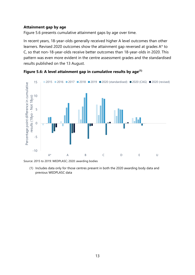#### <span id="page-12-0"></span>**Attainment gap by age**

Figure 5.6 presents cumulative attainment gaps by age over time.

In recent years, 18-year-olds generally received higher A level outcomes than other learners. Revised 2020 outcomes show the attainment gap reversed at grades A\* to C, so that non-18-year-olds receive better outcomes than 18-year-olds in 2020. This pattern was even more evident in the centre assessment grades and the standardised results published on the 13 August.



**Figure 5.6: A level attainment gap in cumulative results by age(1)**

Source: 2015 to 2019: WEDPLASC; 2020: awarding bodies

(1) Includes data only for those centres present in both the 2020 awarding body data and previous WEDPLASC data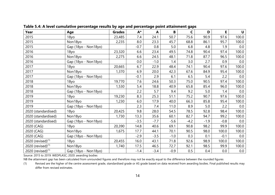| Year                          | Age                  | <b>Grades</b> | $A^*$  | A      | B      | C      | D      | E      | U     |
|-------------------------------|----------------------|---------------|--------|--------|--------|--------|--------|--------|-------|
| 2015                          | 18vo                 | 23,485        | 7.4    | 24.1   | 50.7   | 75.6   | 90.9   | 97.6   | 100.0 |
| 2015                          | Non18yo              | 2,235         | 8.0    | 23.3   | 45.7   | 68.8   | 86.1   | 95.7   | 100.0 |
| 2015                          | Gap (18yo - Non18yo) |               | $-0.7$ | 0.8    | 5.0    | 6.8    | 4.8    | 1.9    | 0.0   |
| 2016                          | 18yo                 | 23,320        | 6.6    | 23.4   | 49.5   | 74.8   | 90.4   | 97.4   | 100.0 |
| 2016                          | Non18yo              | 2,275         | 6.6    | 24.5   | 48.1   | 71.8   | 87.7   | 96.5   | 100.0 |
| 2016                          | Gap (18yo - Non18yo) |               | 0.0    | $-1.0$ | 1.4    | 3.0    | 2.7    | 0.9    | 0.0   |
| 2017                          | 18yo                 | 20,665        | 6.7    | 22.9   | 48.4   | 74.1   | 90.4   | 97.6   | 100.0 |
| 2017                          | Non18yo              | 1,370         | 6.9    | 20.0   | 42.3   | 67.6   | 84.9   | 95.4   | 100.0 |
| 2017                          | Gap (18yo - Non18yo) |               | $-0.1$ | 2.9    | 6.1    | 6.5    | 5.4    | 2.2    | 0.0   |
| 2018                          | 18yo                 | 19,770        | 7.6    | 24.6   | 50.3   | 75.0   | 90.5   | 97.4   | 100.0 |
| 2018                          | Non18yo              | 1,530         | 5.4    | 18.8   | 40.9   | 65.8   | 85.4   | 96.0   | 100.0 |
| 2018                          | Gap (18yo - Non18yo) |               | 2.2    | 5.7    | 9.4    | 9.2    | 5.0    | 1.4    | 0.0   |
| 2019                          | 18yo                 | 19,230        | 8.3    | 25.3   | 51.1   | 75.2   | 90.7   | 97.6   | 100.0 |
| 2019                          | Non18yo              | 1,230         | 6.0    | 17.9   | 40.0   | 66.3   | 85.8   | 95.4   | 100.0 |
| 2019                          | Gap (18yo - Non18yo) |               | 2.3    | 7.4    | 11.0   | 8.9    | 5.0    | 2.2    | 0.0   |
| 2020 (standardised)           | 18yo                 | 20,425        | 9.8    | 28.0   | 54.5   | 78.5   | 92.8   | 98.4   | 100.0 |
| 2020 (standardised)           | Non18yo              | 1,730         | 13.3   | 35.6   | 60.1   | 82.7   | 94.7   | 99.2   | 100.0 |
| 2020 (standardised)           | Gap (18yo - Non18yo) |               | $-3.5$ | $-7.7$ | $-5.6$ | $-4.2$ | $-1.9$ | $-0.8$ | 0.0   |
| 2020 (CAG)                    | 18yo                 | 20,390        | 14.8   | 40.6   | 69.1   | 90.8   | 98.2   | 99.9   | 100.0 |
| 2020 (CAG)                    | Non18yo              | 1,675         | 17.7   | 44.1   | 70.1   | 90.5   | 98.0   | 100.0  | 100.0 |
| 2020 (CAG)                    | Gap (18yo - Non18yo) |               | $-2.9$ | $-3.5$ | $-1.0$ | 0.3    | 0.1    | $-0.1$ | 0.0   |
| 2020 (revised) <sup>(1)</sup> | 18yo                 | 20,455        | 16.0   | 43.1   | 71.8   | 92.6   | 98.9   | 100.0  | 100.0 |
| 2020 (revised) $(1)$          | Non18yo              | 1,740         | 17.5   | 46.5   | 72.7   | 92.1   | 98.5   | 99.9   | 100.0 |
| 2020 (revised) $(1)$          | Gap (18yo - Non18yo) |               | $-1.4$ | $-3.4$ | $-0.9$ | 0.5    | 0.4    | 0.0    | 0.0   |

**Table 5.4: A level cumulative percentage results by age and percentage point attainment gaps**

Source: 2015 to 2019: WEDPLASC; 2020: awarding bodies

NB the attainment gap has been calculated from unrounded figures and therefore may not be exactly equal to the difference between the rounded figures

(1) Revised are the higher of the centre assessment grade, standardised grade or AS grade based on data received from awarding bodies. Final published results may differ from revised estimates.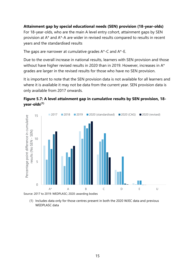## <span id="page-14-0"></span>**Attainment gap by special educational needs (SEN) provision (18-year-olds)**

For 18-year-olds, who are the main A level entry cohort, attainment gaps by SEN provision at A\* and A\*-A are wider in revised results compared to results in recent years and the standardised results

The gaps are narrower at cumulative grades A\*-C and A\*-E.

Due to the overall increase in national results, learners with SEN provision and those without have higher revised results in 2020 than in 2019. However, increases in A\* grades are larger in the revised results for those who have no SEN provision.

It is important to note that the SEN provision data is not available for all learners and where it is available it may not be data from the current year. SEN provision data is only available from 2017 onwards.





(1) Includes data only for those centres present in both the 2020 WJEC data and previous WEDPLASC data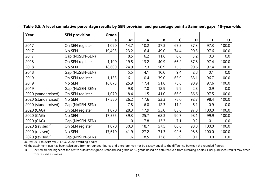| Year                          | <b>SEN provision</b> | Grade  |      |      |      |      |      |        |       |
|-------------------------------|----------------------|--------|------|------|------|------|------|--------|-------|
|                               |                      | S      | A*   | A    | B    | C    | D    | E      | U     |
| 2017                          | On SEN register      | 1,090  | 14.7 | 10.2 | 37.3 | 67.8 | 87.3 | 97.3   | 100.0 |
| 2017                          | No SEN               | 19,495 | 23.2 | 16.4 | 49.0 | 74.4 | 90.5 | 97.6   | 100.0 |
| 2017                          | Gap (NoSEN-SEN)      |        | 8.5  | 6.2  | 11.6 | 6.6  | 3.2  | 0.3    | 0.0   |
| 2018                          | On SEN register      | 1,100  | 19.5 | 13.2 | 40.9 | 66.2 | 87.8 | 97.4   | 100.0 |
| 2018                          | No SEN               | 18,600 | 24.9 | 17.3 | 50.9 | 75.5 | 90.6 | 97.4   | 100.0 |
| 2018                          | Gap (NoSEN-SEN)      |        | 5.5  | 4.1  | 10.0 | 9.4  | 2.8  | 0.1    | 0.0   |
| 2019                          | On SEN register      | 1,155  | 16.1 | 10.4 | 39.0 | 65.9 | 88.1 | 96.7   | 100.0 |
| 2019                          | No SEN               | 18,075 | 25.9 | 17.4 | 51.8 | 75.8 | 90.9 | 97.6   | 100.0 |
| 2019                          | Gap (NoSEN-SEN)      |        | 9.8  | 7.0  | 12.9 | 9.9  | 2.8  | 0.9    | 0.0   |
| 2020 (standardised)           | On SEN register      | 1,070  | 18.4 | 11.5 | 41.0 | 66.9 | 86.6 | 97.5   | 100.0 |
| 2020 (standardised)           | No SEN               | 17,580 | 26.2 | 17.6 | 53.3 | 78.0 | 92.7 | 98.4   | 100.0 |
| 2020 (standardised)           | Gap (NoSEN-SEN)      |        | 7.8  | 6.0  | 12.3 | 11.2 | 6.1  | 0.9    | 0.0   |
| 2020 (CAG)                    | On SEN register      | 1,070  | 28.3 | 17.9 | 55.0 | 83.6 | 97.8 | 100.0  | 100.0 |
| 2020 (CAG)                    | No SEN               | 17,555 | 39.3 | 25.7 | 68.3 | 90.7 | 98.1 | 99.9   | 100.0 |
| 2020 (CAG)                    | Gap (NoSEN-SEN)      |        | 11.0 | 7.8  | 13.3 | 7.1  | 0.2  | $-0.1$ | 0.0   |
| 2020 (revised) $(1)$          | On SEN register      | 1,070  | 30.3 | 18.7 | 57.5 | 86.6 | 98.8 | 100.0  | 100.0 |
| 2020 (revised) $(1)$          | No SEN               | 17,610 | 41.9 | 27.2 | 71.3 | 92.6 | 98.8 | 100.0  | 100.0 |
| 2020 (revised) <sup>(1)</sup> | Gap (NoSEN-SEN)      |        | 11.6 | 8.5  | 13.8 | 5.9  | 0.1  | 0.0    | 0.0   |

**Table 5.5: A level cumulative percentage results by SEN provision and percentage point attainment gaps, 18-year-olds**

Source: 2015 to 2019: WEDPLASC; 2020: awarding bodies

NB the attainment gap has been calculated from unrounded figures and therefore may not be exactly equal to the difference between the rounded figures.

(1) Revised are the higher of the centre assessment grade, standardised grade or AS grade based on data received from awarding bodies. Final published results may differ from revised estimates.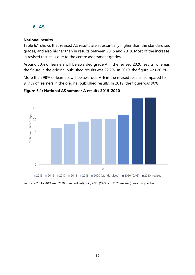# <span id="page-16-0"></span>**6. AS**

## <span id="page-16-1"></span>**National results**

Table 6.1 shows that revised AS results are substantially higher than the standardised grades, and also higher than in results between 2015 and 2019. Most of the increase in revised results is due to the centre assessment grades.

Around 30% of learners will be awarded grade A in the revised 2020 results, whereas the figure in the original published results was 22.2%. In 2019, the figure was 20.3%.

More than 98% of learners will be awarded A-E in the revised results, compared to 91.4% of learners in the original published results. In 2019, the figure was 90%.



**Figure 6.1: National AS summer A results 2015-2020**

Source: 2015 to 2019 amd 2020 (standardised): JCQ; 2020 (CAG) and 2020 (revised): awarding bodies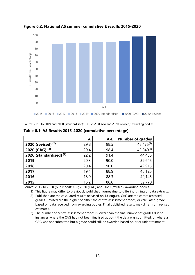

**Figure 6.2: National AS summer cumulative E results 2015-2020**

Source: 2015 to 2019 and 2020 (standardised): JCQ; 2020 (CAG) and 2020 (revised): awarding bodies

|                                    | A    | $A-E$ | <b>Number of grades</b> |
|------------------------------------|------|-------|-------------------------|
| 2020 (revised) $(2)$               | 29.8 | 98.5  | 45,475 <sup>(1)</sup>   |
| 2020 (CAG) $(2)$                   | 29.4 | 98.4  | $43,940^{(3)}$          |
| 2020 (standardised) <sup>(2)</sup> | 22.2 | 91.4  | 44,435                  |
| 2019                               | 20.3 | 90.0  | 39,645                  |
| 2018                               | 20.4 | 90.0  | 42,915                  |
| 2017                               | 19.1 | 88.9  | 46,125                  |
| 2016                               | 18.0 | 88.3  | 49,145                  |
| 2015                               | 16.2 | 86.8  | 52,770                  |

**Table 6.1: AS Results 2015-2020 (cumulative percentage)**

Source: 2015 to 2020 (published): JCQ; 2020 (CAG) and 2020 (revised): awarding bodies

(1) This figure may differ to previously published figures due to differing timing of data extracts.

(2) Published are the calculated results released on 13 August. CAG are the centre assessed grades. Revised are the higher of either the centre assessment grades, or calculated grade based on data received from awarding bodies. Final published results may differ from revised estimates.

(3) The number of centre assessment grades is lower than the final number of grades due to instances where the CAG had not been finalised at point the data was submitted, or where a CAG was not submitted but a grade could still be awarded based on prior unit attainment.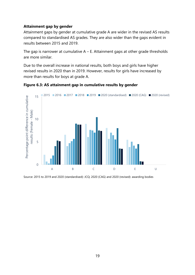#### <span id="page-18-0"></span>**Attainment gap by gender**

Attainment gaps by gender at cumulative grade A are wider in the revised AS results compared to standardised AS grades. They are also wider than the gaps evident in results between 2015 and 2019.

The gap is narrower at cumulative  $A - E$ . Attainment gaps at other grade thresholds are more similar.

Due to the overall increase in national results, both boys and girls have higher revised results in 2020 than in 2019. However, results for girls have increased by more than results for boys at grade A.





Source: 2015 to 2019 and 2020 (standardised): JCQ; 2020 (CAG) and 2020 (revised): awarding bodies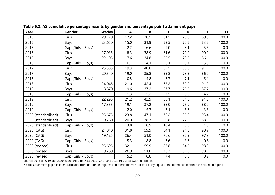| Year                | Gender             | <b>Grades</b> | $\mathbf{A}$ | B    | $\mathsf{C}$ | D    | E.   | U       |
|---------------------|--------------------|---------------|--------------|------|--------------|------|------|---------|
| 2015                | Girls              | 29,120        | 17.2         | 38.5 | 61.5         | 78.6 | 89.3 | 100.0   |
| 2015                | Boys               | 23,650        | 15.0         | 31.9 | 52.5         | 70.5 | 83.8 | 100.0   |
| 2015                | Gap (Girls - Boys) |               | 2.2          | 6.6  | 9.0          | 8.1  | 5.5  | 0.0     |
| 2016                | Girls              | 27,035        | 18.3         | 38.9 | 61.6         | 79.0 | 90.0 | 100.0   |
| 2016                | Boys               | 22,105        | 17.6         | 34.8 | 55.5         | 73.3 | 86.1 | 100.0   |
| 2016                | Gap (Girls - Boys) |               | 0.7          | 4.1  | 6.1          | 5.7  | 3.9  | 0.0     |
| 2017                | Girls              | 25,585        | 19.3         | 40.6 | 63.5         | 80.6 | 91.1 | 100.0   |
| 2017                | Boys               | 20,540        | 19.0         | 35.8 | 55.8         | 73.5 | 86.0 | 100.0   |
| 2017                | Gap (Girls - Boys) |               | 0.3          | 4.8  | 7.7          | 7.1  | 5.1  | 0.0     |
| 2018                | Girls              | 24,045        | 21.0         | 42.4 | 65.2         | 82.0 | 91.9 | 100.0   |
| 2018                | Boys               | 18,870        | 19.6         | 37.2 | 57.7         | 75.5 | 87.7 | 100.0   |
| 2018                | Gap (Girls - Boys) |               | 1.3          | 5.2  | 7.5          | 6.5  | 4.2  | 0.0     |
| 2019                | Girls              | 22,295        | 21.2         | 42.9 | 65.1         | 81.5 | 91.6 | 100.0   |
| 2019                | Boys               | 17,355        | 19.1         | 37.2 | 58.0         | 75.9 | 88.0 | 100.0   |
| 2019                | Gap (Girls - Boys) |               | 2.0          | 5.7  | 7.1          | 5.6  | 3.6  | $0.0\,$ |
| 2020 (standardised) | Girls              | 25,675        | 23.8         | 47.1 | 70.2         | 85.2 | 93.4 | 100.0   |
| 2020 (standardised) | Boys               | 19,760        | 20.0         | 38.3 | 59.8         | 77.2 | 88.9 | 100.0   |
| 2020 (standardised) | Gap (Girls - Boys) |               | 3.8          | 8.9  | 10.4         | 8.0  | 4.5  | 0.0     |
| 2020 (CAG)          | Girls              | 24,810        | 31.8         | 59.9 | 84.1         | 94.5 | 98.7 | 100.0   |
| 2020 (CAG)          | Boys               | 19,125        | 26.4         | 51.0 | 76.6         | 90.9 | 97.9 | 100.0   |
| 2020 (CAG)          | Gap (Girls - Boys) |               | 5.3          | 8.8  | 7.6          | 3.6  | 0.8  | 0.0     |
| 2020 (revised)      | Girls              | 25,695        | 32.1         | 59.9 | 83.8         | 94.5 | 98.8 | 100.0   |
| 2020 (revised)      | Boys               | 19,780        | 26.9         | 51.0 | 76.3         | 91.0 | 98.1 | 100.0   |
| 2020 (revised)      | Gap (Girls - Boys) |               | 5.2          | 8.8  | 7.4          | 3.5  | 0.7  | 0.0     |

**Table 6.2: AS cumulative percentage results by gender and percentage point attainment gaps**

Source: 2015 to 2019 and 2020 (standardised): JCQ; 2020 (CAG) and 2020 (revised): awarding bodies

NB the attainment gap has been calculated from unrounded figures and therefore may not be exactly equal to the difference between the rounded figures.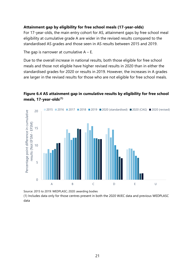## <span id="page-20-0"></span>**Attainment gap by eligibility for free school meals (17-year-olds)**

For 17-year-olds, the main entry cohort for AS, attainment gaps by free school meal eligibility at cumulative grade A are wider in the revised results compared to the standardised AS grades and those seen in AS results between 2015 and 2019.

The gap is narrower at cumulative  $A - E$ .

Due to the overall increase in national results, both those eligible for free school meals and those not eligible have higher revised results in 2020 than in either the standardised grades for 2020 or results in 2019. However, the increases in A grades are larger in the revised results for those who are not eligible for free school meals.

## **Figure 6.4 AS attainment gap in cumulative results by eligibility for free school meals, 17-year-olds(1)**



Source: 2015 to 2019: WEDPLASC; 2020: awarding bodies

(1) Includes data only for those centres present in both the 2020 WJEC data and previous WEDPLASC data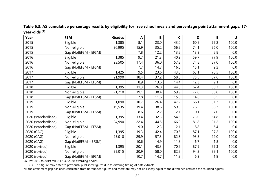| Year                | <b>FSM</b>           | <b>Grades</b> | A    | B    | $\mathsf{C}$ | D    | E.   | $\mathsf{U}$ |
|---------------------|----------------------|---------------|------|------|--------------|------|------|--------------|
| 2015                | Eligible             | 1,385         | 8.1  | 23.0 | 43.0         | 60.8 | 77.2 | 100.0        |
| 2015                | Non-eligible         | 26,995        | 15.9 | 35.2 | 56.8         | 74.1 | 86.0 | 100.0        |
| 2015                | Gap (NotEFSM - EFSM) |               | 7.8  | 12.2 | 13.8         | 13.3 | 8.8  | 0.0          |
| 2016                | Eligible             | 1,385         | 9.7  | 21.3 | 40.9         | 59.7 | 77.9 | 100.0        |
| 2016                | Non-eligible         | 23,505        | 17.4 | 36.0 | 57.3         | 74.8 | 87.0 | 100.0        |
| 2016                | Gap (NotEFSM - EFSM) |               | 7.7  | 14.7 | 16.5         | 15.1 | 9.2  | 0.0          |
| 2017                | Eligible             | 1,425         | 9.5  | 23.6 | 43.8         | 63.1 | 78.5 | 100.0        |
| 2017                | Non-eligible         | 21,990        | 18.4 | 37.2 | 58.3         | 75.5 | 87.6 | 100.0        |
| 2017                | Gap (NotEFSM - EFSM) |               | 8.9  | 13.6 | 14.4         | 12.3 | 9.1  | 0.0          |
| 2018                | Eligible             | 1,395         | 11.3 | 26.8 | 44.3         | 62.4 | 80.3 | 100.0        |
| 2018                | Non-eligible         | 21,210        | 19.1 | 38.4 | 59.9         | 77.0 | 88.8 | 100.0        |
| 2018                | Gap (NotEFSM - EFSM) |               | 7.8  | 11.6 | 15.6         | 14.6 | 8.5  | 0.0          |
| 2019                | Eligible             | 1,090         | 10.7 | 26.4 | 47.2         | 66.1 | 81.3 | 100.0        |
| 2019                | Non-eligible         | 19,535        | 19.4 | 38.6 | 59.3         | 76.2 | 88.3 | 100.0        |
| 2019                | Gap (NotEFSM - EFSM) |               | 8.6  | 12.2 | 12.1         | 10.1 | 7.0  | 0.0          |
| 2020 (standardised) | Eligible             | 1,395         | 13.4 | 32.3 | 54.8         | 73.0 | 84.8 | 100.0        |
| 2020 (standardised) | Non-eligible         | 24,990        | 22.4 | 44.5 | 66.9         | 81.8 | 91.2 | 100.0        |
| 2020 (standardised) | Gap (NotEFSM - EFSM) |               | 9.0  | 12.3 | 12.1         | 8.8  | 6.4  | 0.0          |
| 2020 (CAG)          | Eligible             | 1,395         | 19.3 | 42.4 | 70.5         | 87.1 | 97.2 | 100.0        |
| 2020 (CAG)          | Non-eligible         | 25,010        | 29.9 | 57.3 | 82.3         | 93.8 | 99.0 | 100.0        |
| 2020 (CAG)          | Gap (NotEFSM - EFSM) |               | 10.6 | 14.9 | 11.8         | 6.7  | 1.8  | 0.0          |
| 2020 (revised)      | Eligible             | 1,395         | 20.1 | 43.3 | 70.9         | 87.9 | 97.3 | 100.0        |
| 2020 (revised)      | Non-eligible         | 25,015        | 30.9 | 58.0 | 82.8         | 94.2 | 99.1 | 100.0        |
| 2020 (revised)      | Gap (NotEFSM - EFSM) |               | 10.7 | 14.7 | 11.9         | 6.3  | 1.9  | 0.0          |

**Table 6.3: AS cumulative percentage results by eligibility for free school meals and percentage point attainment gaps, 17 year-olds (1)**

Source: 2015 to 2019: WEDPLASC; 2020: awarding bodies

(1) This figure may differ to previously published figures due to differing timing of data extracts.

NB the attainment gap has been calculated from unrounded figures and therefore may not be exactly equal to the difference between the rounded figures.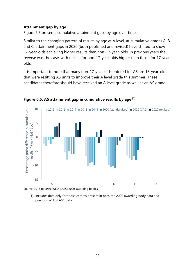#### <span id="page-22-0"></span>**Attainment gap by age**

Figure 6.5 presents cumulative attainment gaps by age over time.

Similar to the changing pattern of results by age at A level, at cumulative grades A, B and C, attainment gaps in 2020 (both published and revised) have shifted to show 17-year-olds achieving higher results than non-17-year-olds. In previous years the reverse was the case, with results for non-17-year-olds higher than those for 17-yearolds.

It is important to note that many non-17-year-olds entered for AS are 18-year-olds that were resitting AS units to improve their A level grade this summer. These candidates therefore should have received an A level grade as well as an AS grade.



**Figure 6.5: AS attainment gap in cumulative results by age (1)**

(1) Includes data only for those centres present in both the 2020 awarding body data and previous WEDPLASC data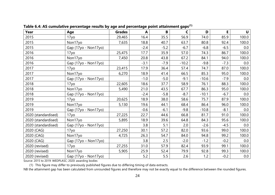| Year                | Age                  | <b>Grades</b> | A      | B      | C       | D       | E.     | U       |
|---------------------|----------------------|---------------|--------|--------|---------|---------|--------|---------|
| 2015                | 17 <sub>yo</sub>     | 29,465        | 16.4   | 35.5   | 56.9    | 74.0    | 85.9   | 100.0   |
| 2015                | Non17yo              | 7,635         | 18.8   | 40.7   | 63.7    | 80.8    | 92.4   | 100.0   |
| 2015                | Gap (17yo - Non17yo) |               | $-2.4$ | $-5.2$ | $-6.7$  | $-6.8$  | $-6.5$ | 0.0     |
| 2016                | 17yo                 | 25,475        | 17.7   | 35.9   | 57.0    | 74.3    | 86.7   | 100.0   |
| 2016                | Non17yo              | 7,450         | 20.8   | 43.8   | 67.2    | 84.1    | 94.0   | 100.0   |
| 2016                | Gap (17yo - Non17yo) |               | $-3.1$ | $-7.9$ | $-10.2$ | $-9.8$  | $-7.3$ | 0.0     |
| 2017                | 17yo                 | 23,415        | 17.9   | 36.4   | 57.4    | 74.7    | 87.0   | 100.0   |
| 2017                | Non17yo              | 6,270         | 18.9   | 41.4   | 66.5    | 85.3    | 95.0   | 100.0   |
| 2017                | Gap (17yo - Non17yo) |               | $-1.0$ | $-5.0$ | $-9.1$  | $-10.6$ | $-7.9$ | 0.0     |
| 2018                | 17yo                 | 22,605        | 18.6   | 37.7   | 58.9    | 76.1    | 88.3   | 100.0   |
| 2018                | Non17yo              | 5,490         | 21.0   | 43.5   | 67.7    | 86.3    | 95.0   | 100.0   |
| 2018                | Gap (17yo - Non17yo) |               | $-2.4$ | $-5.8$ | $-8.7$  | $-10.1$ | $-6.7$ | 0.0     |
| 2019                | 17yo                 | 20,625        | 18.9   | 38.0   | 58.6    | 75.7    | 87.9   | 100.0   |
| 2019                | Non17yo              | 5,130         | 19.6   | 44.1   | 68.4    | 86.4    | 96.0   | 100.0   |
| 2019                | Gap (17yo - Non17yo) |               | $-0.6$ | $-6.1$ | $-9.8$  | $-10.8$ | $-8.1$ | 0.0     |
| 2020 (standardised) | 17yo                 | 27,225        | 22.7   | 44.6   | 66.8    | 81.7    | 91.0   | 100.0   |
| 2020 (standardised) | Non17yo              | 5,895         | 18.9   | 39.6   | 64.8    | 84.3    | 95.6   | 100.0   |
| 2020 (standardised) | Gap (17yo - Non17yo) |               | 3.8    | 5.1    | 2.0     | $-2.6$  | $-4.5$ | 0.0     |
| 2020 (CAG)          | 17yo                 | 27,250        | 30.1   | 57.2   | 82.0    | 93.6    | 99.0   | 100.0   |
| 2020 (CAG)          | Non17yo              | 4,725         | 26.3   | 54.7   | 84.0    | 94.8    | 99.2   | 100.0   |
| 2020 (CAG)          | Gap (17yo - Non17yo) |               | 3.8    | 2.5    | $-2.0$  | $-1.2$  | $-0.2$ | 0.0     |
| 2020 (revised)      | 17 <sub>yo</sub>     | 27,255        | 31.0   | 57.9   | 82.4    | 93.9    | 99.1   | 100.0   |
| 2020 (revised)      | Non17yo              | 5,905         | 25.9   | 52.4   | 79.9    | 92.8    | 99.3   | 100.0   |
| 2020 (revised)      | Gap (17yo - Non17yo) |               | 5.2    | 5.5    | 2.6     | 1.2     | $-0.2$ | $0.0\,$ |

**Table 6.4: AS cumulative percentage results by age and percentage point attainment gaps(1)**

Source: 2015 to 2019: WEDPLASC; 2020: awarding bodies

(1) This figure may differ to previously published figures due to differing timing of data extracts.

NB the attainment gap has been calculated from unrounded figures and therefore may not be exactly equal to the difference between the rounded figures.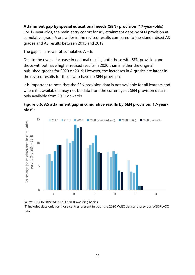## <span id="page-24-0"></span>**Attainment gap by special educational needs (SEN) provision (17-year-olds)**

For 17-year-olds, the main entry cohort for AS, attainment gaps by SEN provision at cumulative grade A are wider in the revised results compared to the standardised AS grades and AS results between 2015 and 2019.

The gap is narrower at cumulative  $A - E$ .

Due to the overall increase in national results, both those with SEN provision and those without have higher revised results in 2020 than in either the original published grades for 2020 or 2019. However, the increases in A grades are larger in the revised results for those who have no SEN provision.

It is important to note that the SEN provision data is not available for all learners and where it is available it may not be data from the current year. SEN provision data is only available from 2017 onwards.





Source: 2017 to 2019: WEDPLASC; 2020: awarding bodies

(1) Includes data only for those centres present in both the 2020 WJEC data and previous WEDPLASC data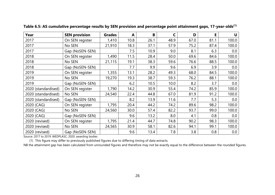| Year                | <b>SEN provision</b> | <b>Grades</b> | A    | B    | C    | D    | Е    | U     |
|---------------------|----------------------|---------------|------|------|------|------|------|-------|
| 2017                | On SEN register      | 1,410         | 10.8 | 26.1 | 48.9 | 67.0 | 81.1 | 100.0 |
| 2017                | No SEN               | 21,910        | 18.3 | 37.1 | 57.9 | 75.2 | 87.4 | 100.0 |
| 2017                | Gap (NoSEN-SEN)      |               | 7.5  | 10.9 | 9.0  | 8.1  | 6.3  | 0.0   |
| 2018                | On SEN register      | 1,490         | 11.5 | 28.4 | 50.0 | 69.6 | 84.6 | 100.0 |
| 2018                | No SEN               | 21,115        | 19.1 | 38.3 | 59.6 | 76.6 | 88.5 | 100.0 |
| 2018                | Gap (NoSEN-SEN)      |               | 7.7  | 9.9  | 9.6  | 6.9  | 3.9  | 0.0   |
| 2019                | On SEN register      | 1,355         | 13.1 | 28.2 | 49.3 | 68.0 | 84.5 | 100.0 |
| 2019                | No SEN               | 19,270        | 19.3 | 38.7 | 59.3 | 76.2 | 88.1 | 100.0 |
| 2019                | Gap (NoSEN-SEN)      |               | 6.2  | 10.5 | 10.0 | 8.2  | 3.7  | 0.0   |
| 2020 (standardised) | On SEN register      | 1,790         | 14.2 | 30.9 | 55.4 | 74.2 | 85.9 | 100.0 |
| 2020 (standardised) | No SEN               | 24,540        | 22.4 | 44.8 | 67.0 | 81.9 | 91.2 | 100.0 |
| 2020 (standardised) | Gap (NoSEN-SEN)      |               | 8.2  | 13.9 | 11.6 | 7.7  | 5.3  | 0.0   |
| 2020 (CAG)          | On SEN register      | 1,795         | 20.4 | 44.2 | 74.2 | 89.6 | 98.2 | 100.0 |
| 2020 (CAG)          | No SEN               | 24,560        | 30.0 | 57.4 | 82.2 | 93.7 | 99.0 | 100.0 |
| 2020 (CAG)          | Gap (NoSEN-SEN)      |               | 9.6  | 13.2 | 8.0  | 4.1  | 0.8  | 0.0   |
| 2020 (revised)      | On SEN register      | 1,795         | 21.4 | 44.7 | 74.8 | 90.2 | 98.3 | 100.0 |
| 2020 (revised)      | No SEN               | 24,565        | 30.9 | 58.1 | 82.6 | 94.1 | 99.1 | 100.0 |
| 2020 (revised)      | Gap (NoSEN-SEN)      |               | 9.6  | 13.4 | 7.8  | 3.8  | 0.8  | 0.0   |

**Table 6.5: AS cumulative percentage results by SEN provision and percentage point attainment gaps, 17-year-olds(1)**

Source: 2017 to 2019: WEDPLASC; 2020: awarding bodies

(1) This figure may differ to previously published figures due to differing timing of data extracts.

NB the attainment gap has been calculated from unrounded figures and therefore may not be exactly equal to the difference between the rounded figures.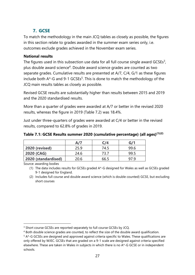# **7. GCSE**

<span id="page-26-0"></span>To match the methodology in the main JCQ tables as closely as possible, the figures in this section relate to grades awarded in the summer exam series only, i.e. outcomes exclude grades achieved in the November exam series.

## <span id="page-26-1"></span>**National results**

The figures used in this subsection use data for all full course single award GCSEs<sup>3</sup>, plus double award science<sup>4</sup>. Double award science grades are counted as two separate grades. Cumulative results are presented at A/7, C/4, G/1 as these figures include both  $A^*$ -G and 9-1 GCSEs<sup>5</sup>. This is done to match the methodology of the JCQ main results tables as closely as possible.

Revised GCSE results are substantially higher than results between 2015 and 2019 and the 2020 standardised results.

More than a quarter of grades were awarded at A/7 or better in the revised 2020 results, whereas the figure in 2019 (Table 7.2) was 18.4%.

Just under three-quarters of grades were awarded at C/4 or better in the revised results, compared to 62.8% of grades in 2019.

**Table 7.1: GCSE Results summer 2020 (cumulative percentage) (all ages)(1)(2)**

|                     | A/7  | C/4  | G/1  |
|---------------------|------|------|------|
| 2020 (revised)      | 25.9 | 74.5 | 99 6 |
| 2020 (CAG)          | 24.6 | 73.7 | 99.5 |
| 2020 (standardised) | 20.6 | 66.5 |      |

Source: awarding bodies

(1) The data includes results for GCSEs graded A\*-G designed for Wales as well as GCSEs graded 9-1 designed for England.

(2) Includes full course and double award science (which is double counted) GCSE, but excluding short courses

<sup>&</sup>lt;sup>3</sup> Short course GCSEs are reported separately to full course GCSEs by JCQ.

<sup>4</sup> Both double science grades are counted, to reflect the size of the double award qualification.

<sup>&</sup>lt;sup>5</sup> A<sup>\*</sup>-G GCSEs are designed and approved against criteria specific to Wales. These qualifications are only offered by WJEC. GCSEs that are graded on a 9-1 scale are designed against criteria specified elsewhere. These are taken in Wales in subjects in which there is no A\*-G GCSE or in independent schools.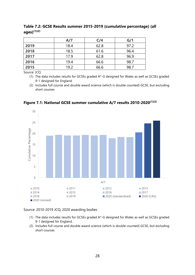|      | A/7  | C/4  | G/1  |
|------|------|------|------|
| 2019 | 18.4 | 62.8 | 97.2 |
| 2018 | 18.5 | 61.6 | 96.4 |
| 2017 | 17.9 | 62.8 | 96.9 |
| 2016 | 19.4 | 66.6 | 98.7 |
| 2015 | 19.2 | 66.6 | 98.7 |

**Table 7.2: GCSE Results summer 2015-2019 (cumulative percentage) (all ages)(1)(2)**

Source: JCQ

(1) The data includes results for GCSEs graded A\*-G designed for Wales as well as GCSEs graded 9-1 designed for England.

(2) Includes full course and double award science (which is double counted) GCSE, but excluding short courses



**Figure 7.1: National GCSE summer cumulative A/7 results 2010-2020(1)(2)**

Source: 2010-2019 JCQ, 2020 awarding bodies

- (1) The data includes results for GCSEs graded A\*-G designed for Wales as well as GCSEs graded 9-1 designed for England.
- (2) Includes full course and double award science (which is double counted) GCSE, but excluding short courses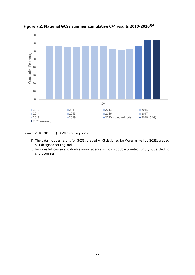

**Figure 7.2: National GCSE summer cumulative C/4 results 2010-20201)(2)**

Source: 2010-2019 JCQ, 2020 awarding bodies

- (1) The data includes results for GCSEs graded A\*-G designed for Wales as well as GCSEs graded 9-1 designed for England.
- (2) Includes full course and double award science (which is double counted) GCSE, but excluding short courses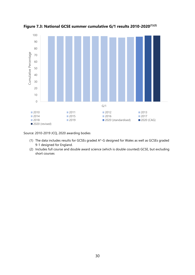

**Figure 7.3: National GCSE summer cumulative G/1 results 2010-2020(1)(2)**

Source: 2010-2019 JCQ, 2020 awarding bodies

- (1) The data includes results for GCSEs graded A\*-G designed for Wales as well as GCSEs graded 9-1 designed for England.
- (2) Includes full course and double award science (which is double counted) GCSE, but excluding short courses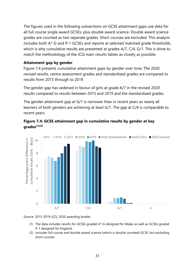The figures used in the following subsections on GCSE attainment gaps use data for all full course single award GCSEs, plus double award science. Double award science grades are counted as two separate grades. Short courses are excluded. This analysis includes both A\*-G and 9-1 GCSEs and reports at selected matched grade thresholds, which is why cumulative results are presented at grades A/7, C/4, G/1. This is done to match the methodology of the JCQ main results tables as closely as possible.

#### <span id="page-30-0"></span>**Attainment gap by gender**

Figure 7.4 presents cumulative attainment gaps by gender over time. The 2020 revised results, centre assessment grades and standardised grades are compared to results from 2015 through to 2019.

The gender gap has widened in favour of girls at grade A/7 in the revised 2020 results compared to results between 2015 and 2019 and the standardised grades.

The gender attainment gap at G/1 is narrower than in recent years as nearly all learners of both genders are achieving at least G/1. The gap at C/4 is comparable to recent years.

#### **Figure 7.4: GCSE attainment gap in cumulative results by gender at key grades(1)(2)**



Source: 2015-2019 JCQ, 2020 awarding bodies

- (1) The data includes results for GCSEs graded A\*-G designed for Wales as well as GCSEs graded 9-1 designed for England.
- (2) Includes full course and double award science (which is double counted) GCSE, but excluding short courses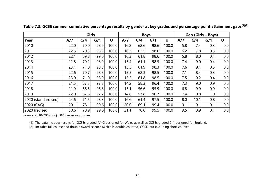|                     | Girls |      |      |       | <b>Boys</b> |      |      | Gap (Girls – Boys) |     |      |     |     |
|---------------------|-------|------|------|-------|-------------|------|------|--------------------|-----|------|-----|-----|
| Year                | A/7   | C/4  | G/1  | U     | A/7         | C/4  | G/1  | U                  | A/7 | C/4  | G/1 | U   |
| 2010                | 22.0  | 70.0 | 98.9 | 100.0 | 16.2        | 62.6 | 98.6 | 100.0              | 5.8 | 7.4  | 0.3 | 0.0 |
| 2011                | 22.5  | 70.3 | 98.9 | 100.0 | 16.3        | 62.5 | 98.6 | 100.0              | 6.2 | 7.8  | 0.3 | 0.0 |
| 2012                | 22.1  | 69.8 | 99.0 | 100.0 | 16.3        | 61.8 | 98.6 | 100.0              | 5.8 | 8.0  | 0.4 | 0.0 |
| 2013                | 22.8  | 70.1 | 98.9 | 100.0 | 15.4        | 61.1 | 98.5 | 100.0              | 7.4 | 9.0  | 0.4 | 0.0 |
| 2014                | 23.1  | 71.0 | 98.8 | 100.0 | 15.5        | 61.9 | 98.3 | 100.0              | 7.6 | 9.1  | 0.5 | 0.0 |
| 2015                | 22.6  | 70.7 | 98.8 | 100.0 | 15.5        | 62.3 | 98.5 | 100.0              | 7.1 | 8.4  | 0.3 | 0.0 |
| 2016                | 23.0  | 71.0 | 98.9 | 100.0 | 15.5        | 61.8 | 98.5 | 100.0              | 7.5 | 9.2  | 0.4 | 0.0 |
| 2017                | 21.5  | 67.3 | 97.3 | 100.0 | 14.2        | 58.3 | 96.4 | 100.0              | 7.3 | 9.0  | 0.9 | 0.0 |
| 2018                | 21.9  | 66.5 | 96.8 | 100.0 | 15.1        | 56.6 | 95.9 | 100.0              | 6.8 | 9.9  | 0.9 | 0.0 |
| 2019                | 22.0  | 67.6 | 97.7 | 100.0 | 14.6        | 57.8 | 96.7 | 100.0              | 7.4 | 9.8  | 1.0 | 0.0 |
| 2020 (standardised) | 24.6  | 71.5 | 98.3 | 100.0 | 16.6        | 61.4 | 97.5 | 100.0              | 8.0 | 10.1 | 0.8 | 0.0 |
| 2020 (CAG)          | 29.1  | 78.1 | 99.6 | 100.0 | 20.0        | 69.1 | 99.4 | 100.0              | 9.1 | 9.1  | 0.1 | 0.0 |
| 2020 (revised)      | 30.6  | 78.9 | 99.6 | 100.0 | 21.1        | 70.0 | 99.5 | 100.0              | 9.5 | 8.9  | 0.1 | 0.0 |

**Table 7.3: GCSE summer cumulative percentage results by gender at key grades and percentage point attainment gaps(1)(2)**

Source: 2010-2019 JCQ, 2020 awarding bodies

(1) The data includes results for GCSEs graded A\*-G designed for Wales as well as GCSEs graded 9-1 designed for England.

(2) Includes full course and double award science (which is double counted) GCSE, but excluding short courses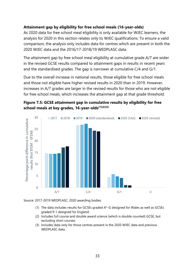## <span id="page-32-0"></span>**Attainment gap by eligibility for free school meals (16-year-olds)**

As 2020 data for free school meal eligibility is only available for WJEC learners, the analysis for 2020 in this section relates only to WJEC qualifications. To ensure a valid comparison, the analysis only includes data for centres which are present in both the 2020 WJEC data and the 2016/17-2018/19 WEDPLASC data.

The attainment gap by free school meal eligibility at cumulative grade A/7 are wider in the revised GCSE results compared to attainment gaps in results in recent years and the standardised grades. The gap is narrower at cumulative C/4 and G/1.

Due to the overall increase in national results, those eligible for free school meals and those not eligible have higher revised results in 2020 than in 2019. However, increases in A/7 grades are larger in the revised results for those who are not eligible for free school meals, which increases the attainment gap at that grade threshold.

**Figure 7.5: GCSE attainment gap in cumulative results by eligibility for free school meals at key grades, 16-year-olds(1)(2)(3)**



Source: 2017-2019 WEDPLASC, 2020 awarding bodies

- (1) The data includes results for GCSEs graded A\*-G designed for Wales as well as GCSEs graded 9-1 designed for England.
- (2) Includes full course and double award science (which is double counted) GCSE, but excluding short courses.
- (3) Includes data only for those centres present in the 2020 WJEC data and previous WEDPLASC data.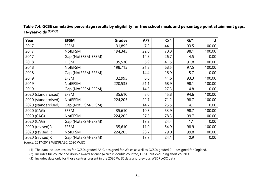## **Table 7.4: GCSE cumulative percentage results by eligibility for free school meals and percentage point attainment gaps, 16-year-olds (1)(2)(3)**

| Year                | <b>EFSM</b>        | <b>Grades</b> | A/7  | C/4  | G/1  | U      |
|---------------------|--------------------|---------------|------|------|------|--------|
| 2017                | <b>EFSM</b>        | 31,895        | 7.2  | 44.1 | 93.5 | 100.00 |
| 2017                | <b>NotEFSM</b>     | 194,345       | 22.0 | 70.8 | 98.1 | 100.00 |
| 2017                | Gap (NotEFSM-EFSM) |               | 14.8 | 26.7 | 4.5  | 0.00   |
| 2018                | <b>EFSM</b>        | 35,530        | 6.9  | 41.5 | 91.8 | 100.00 |
| 2018                | <b>NotEFSM</b>     | 198,715       | 21.3 | 68.5 | 97.5 | 100.00 |
| 2018                | Gap (NotEFSM-EFSM) |               | 14.4 | 26.9 | 5.7  | 0.00   |
| 2019                | <b>EFSM</b>        | 32,995        | 6.6  | 41.6 | 93.3 | 100.00 |
| 2019                | <b>NotEFSM</b>     | 220,535       | 21.1 | 68.9 | 98.1 | 100.00 |
| 2019                | Gap (NotEFSM-EFSM) |               | 14.5 | 27.3 | 4.8  | 0.00   |
| 2020 (standardised) | <b>EFSM</b>        | 35,610        | 8.0  | 45.8 | 94.6 | 100.00 |
| 2020 (standardised) | <b>NotEFSM</b>     | 224,205       | 22.7 | 71.2 | 98.7 | 100.00 |
| 2020 (standardised) | Gap (NotEFSM-EFSM) |               | 14.7 | 25.5 | 4.1  | 0.00   |
| 2020 (CAG)          | <b>EFSM</b>        | 35,610        | 10.3 | 53.9 | 98.7 | 100.00 |
| 2020 (CAG)          | <b>NotEFSM</b>     | 224,205       | 27.5 | 78.3 | 99.7 | 100.00 |
| 2020 (CAG)          | Gap (NotEFSM-EFSM) |               | 17.2 | 24.4 | 1.1  | 0.00   |
| 2020 (revised)R     | <b>EFSM</b>        | 35,610        | 11.0 | 54.9 | 98.9 | 100.00 |
| 2020 (revised)R     | <b>NotEFSM</b>     | 224,205       | 28.7 | 79.0 | 99.8 | 100.00 |
| 2020 (revised)R     | Gap (NotEFSM-EFSM) |               | 17.7 | 24.1 | 0.9  | 0.00   |

Source: 2017-2019 WEDPLASC, 2020 WJEC

(1) The data includes results for GCSEs graded A\*-G designed for Wales as well as GCSEs graded 9-1 designed for England.

(2) Includes full course and double award science (which is double counted) GCSE, but excluding short courses

(3) Includes data only for those centres present in the 2020 WJEC data and previous WEDPLASC data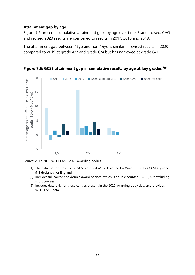#### <span id="page-34-0"></span>**Attainment gap by age**

Figure 7.6 presents cumulative attainment gaps by age over time. Standardised, CAG and revised 2020 results are compared to results in 2017, 2018 and 2019.

The attainment gap between 16yo and non-16yo is similar in revised results in 2020 compared to 2019 at grade A/7 and grade C/4 but has narrowed at grade G/1.





Source: 2017-2019 WEDPLASC, 2020 awarding bodies

- (1) The data includes results for GCSEs graded A\*-G designed for Wales as well as GCSEs graded 9-1 designed for England.
- (2) Includes full course and double award science (which is double counted) GCSE, but excluding short courses
- (3) Includes data only for those centres present in the 2020 awarding body data and previous WEDPLASC data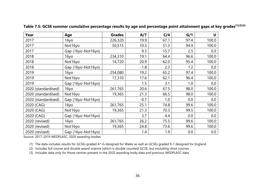| Year                | Age                | <b>Grades</b> | A/7    | C/4  | G/1  | U     |
|---------------------|--------------------|---------------|--------|------|------|-------|
| 2017                | 16y <sub>O</sub>   | 226,320       | 19.9   | 67.1 | 97.4 | 100.0 |
| 2017                | Not16yo            | 50,515        | 10.5   | 51.3 | 94.9 | 100.0 |
| 2017                | Gap (16yo-Not16yo) |               | 9.3    | 15.7 | 2.5  | 0.0   |
| 2018                | 16y <sub>O</sub>   | 234,310       | 19.1   | 64.4 | 96.6 | 100.0 |
| 2018                | Not16yo            | 14,720        | 20.9   | 62.0 | 95.4 | 100.0 |
| 2018                | Gap (16yo-Not16yo) |               | $-1.8$ | 2.3  | 1.2  | 0.0   |
| 2019                | 16yo               | 254,080       | 19.2   | 65.2 | 97.4 | 100.0 |
| 2019                | Not16yo            | 17,310        | 17.6   | 62.1 | 96.4 | 100.0 |
| 2019                | Gap (16yo-Not16yo) |               | 1.5    | 3.1  | 1.0  | 0.0   |
| 2020 (standardised) | 16yo               | 261,765       | 20.6   | 67.5 | 98.0 | 100.0 |
| 2020 (standardised) | Not16yo            | 19,365        | 21.3   | 66.5 | 98.0 | 100.0 |
| 2020 (standardised) | Gap (16yo-Not16yo) |               | $-0.7$ | 1.0  | 0.0  | 0.0   |
| 2020 (CAG)          | 16yo               | 261,765       | 25.1   | 74.8 | 99.6 | 100.0 |
| 2020 (CAG)          | Not16yo            | 19,365        | 21.3   | 70.3 | 99.5 | 100.0 |
| 2020 (CAG)          | Gap (16yo-Not16yo) |               | 3.7    | 4.4  | 0.0  | 0.0   |
| 2020 (revised)      | 16y <sub>O</sub>   | 261,765       | 26.2   | 75.5 | 99.6 | 100.0 |
| 2020 (revised)      | Not16yo            | 19,365        | 24.8   | 73.6 | 99.6 | 100.0 |
| 2020 (revised)      | Gap (16yo-Not16yo) |               | 1.4    | 1.9  | 0.0  | 0.0   |

**Table 7.5: GCSE summer cumulative percentage results by age and percentage point attainment gaps at key grades(1)(2)(3)**

Source: 2017-2019 WEDPLASC, 2020 awarding bodies

(1) The data includes results for GCSEs graded A\*-G designed for Wales as well as GCSEs graded 9-1 designed for England.

(2) Includes full course and double award science (which is double counted) GCSE, but excluding short courses

(3) Includes data only for those centres present in the 2020 awarding body data and previous WEDPLASC data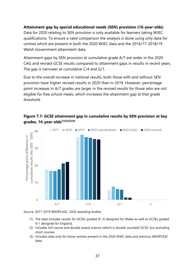## <span id="page-36-0"></span>**Attainment gap by special educational needs (SEN) provision (16-year-olds)**

Data for 2020 relating to SEN provision is only available for learners taking WJEC qualifications. To ensure a valid comparison the analysis is done using only data for centres which are present in both the 2020 WJEC data and the 2016/17-2018/19 Welsh Government attainment data.

Attainment gaps by SEN provision at cumulative grade A/7 are wider in the 2020 CAG and revised GCSE results compared to attainment gaps in results in recent years. The gap is narrower at cumulative C/4 and G/1.

Due to the overall increase in national results, both those with and without SEN provision have higher revised results in 2020 than in 2019. However, percentage point increases in A/7 grades are larger in the revised results for those who are not eligible for free school meals, which increases the attainment gap at that grade threshold.





Source: 2017-2019 WEDPLASC, 2020 awarding bodies

- (1) The data includes results for GCSEs graded A\*-G designed for Wales as well as GCSEs graded 9-1 designed for England.
- (2) Includes full course and double award science (which is double counted) GCSE, but excluding short courses.
- (3) Includes data only for those centres present in the 2020 WJEC data and previous WEDPLASC data.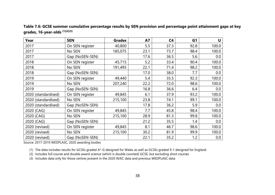|                                           | Table 7.6: GCSE summer cumulative percentage results by SEN provision and percentage point attainment gaps at key |
|-------------------------------------------|-------------------------------------------------------------------------------------------------------------------|
| grades, 16-year-olds <sup>(1)(2)(3)</sup> |                                                                                                                   |

| Year                | <b>SEN</b>      | <b>Grades</b> | <b>A7</b> | C <sub>4</sub> | G <sub>1</sub> | U     |
|---------------------|-----------------|---------------|-----------|----------------|----------------|-------|
| 2017                | On SEN register | 40,800        | 5.5       | 37.3           | 92.8           | 100.0 |
| 2017                | No SEN          | 185,075       | 23.1      | 73.7           | 98.4           | 100.0 |
| 2017                | Gap (NoSEN-SEN) |               | 17.6      | 36.5           | 5.6            | 0.0   |
| 2018                | On SEN register | 45,715        | 5.2       | 33.4           | 90.4           | 100.0 |
| 2018                | No SEN          | 191,495       | 22.1      | 71.4           | 98.2           | 100.0 |
| 2018                | Gap (NoSEN-SEN) |               | 17.0      | 38.0           | 7.7            | 0.0   |
| 2019                | On SEN register | 49,440        | 5.4       | 35.5           | 92.3           | 100.0 |
| 2019                | No SEN          | 207,240       | 22.2      | 72.0           | 98.6           | 100.0 |
| 2019                | Gap (NoSEN-SEN) |               | 16.8      | 36.6           | 6.4            | 0.0   |
| 2020 (standardised) | On SEN register | 49,845        | 6.1       | 37.9           | 93.2           | 100.0 |
| 2020 (standardised) | No SEN          | 215,100       | 23.8      | 74.1           | 99.1           | 100.0 |
| 2020 (standardised) | Gap (NoSEN-SEN) |               | 17.8      | 36.2           | 5.9            | 0.0   |
| 2020 (CAG)          | On SEN register | 49,845        | 7.7       | 45.8           | 98.4           | 100.0 |
| 2020 (CAG)          | No SEN          | 215,100       | 28.9      | 81.3           | 99.8           | 100.0 |
| 2020 (CAG)          | Gap (NoSEN-SEN) |               | 21.2      | 35.5           | 1.4            | 0.0   |
| 2020 (revised)      | On SEN register | 49,845        | 8.1       | 46.7           | 98.6           | 100.0 |
| 2020 (revised)      | No SEN          | 215,100       | 30.2      | 81.9           | 99.9           | 100.0 |
| 2020 (revised)      | Gap (NoSEN-SEN) |               | 22.1      | 35.2           | 1.2            | 0.0   |

Source: 2017-2019 WEDPLASC, 2020 awarding bodies

(1) The data includes results for GCSEs graded A\*-G designed for Wales as well as GCSEs graded 9-1 designed for England.

(2) Includes full course and double award science (which is double counted) GCSE, but excluding short courses

(3) Includes data only for those centres present in the 2020 WJEC data and previous WEDPLASC data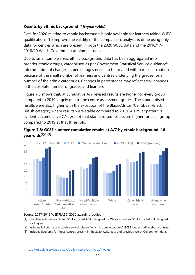## <span id="page-38-0"></span>**Results by ethnic background (16-year-olds)**

Data for 2020 relating to ethnic background is only available for learners taking WJEC qualifications. To improve the validity of the comparison, analysis is done using only data for centres which are present in both the 2020 WJEC data and the 2016/17- 2018/19 Welsh Government attainment data.

Due to small sample sizes, ethnic background data has been aggregated into broader ethnic groups, categorised as per Government Statistical Service guidance<sup>6</sup>. Interpretation of changes in percentages needs to be treated with particular caution because of the small number of learners and centres underlying the grades for a number of the ethnic categories. Changes in percentages may reflect small changes in the absolute number of grades and learners.

Figure 7.8 shows that, at cumulative A/7 revised results are higher for every group compared to 2019 largely due to the centre assessment grades. The standardised results were also higher with the exception of the Black/African/Caribbean/Black British category where results were stable compared to 2019. A similar pattern is evident at cumulative C/4, except that standardised results are higher for each group compared to 2019 at that threshold.





Source: 2017-2019 WEDPLASC, 2020 awarding bodies

- (1) The data includes results for GCSEs graded A\*-G designed for Wales as well as GCSEs graded 9-1 designed for England.
- (2) Includes full course and double award science (which is double counted) GCSE, but excluding short courses.
- (3) Includes data only for those centres present in the 2020 WJEC data and previous Welsh Government data.

<sup>6</sup> <https://gss.civilservice.gov.uk/policy-store/ethnicity/#wales->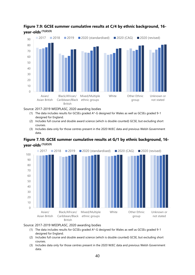



Source: 2017-2019 WEDPLASC, 2020 awarding bodies

- (1) The data includes results for GCSEs graded A\*-G designed for Wales as well as GCSEs graded 9-1 designed for England.
- (2) Includes full course and double award science (which is double counted) GCSE, but excluding short courses.
- (3) Includes data only for those centres present in the 2020 WJEC data and previous Welsh Government data.





#### Source: 2017-2019 WEDPLASC, 2020 awarding bodies

- (1) The data includes results for GCSEs graded A\*-G designed for Wales as well as GCSEs graded 9-1 designed for England.
- (2) Includes full course and double award science (which is double counted) GCSE, but excluding short courses.
- (3) Includes data only for those centres present in the 2020 WJEC data and previous Welsh Government data.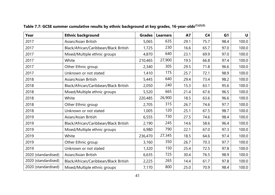| Year                | <b>Ethnic background</b>              | <b>Grades</b> | <b>Learners</b> | <b>A7</b> | C <sub>4</sub> | G1   | U     |
|---------------------|---------------------------------------|---------------|-----------------|-----------|----------------|------|-------|
| 2017                | Asian/Asian British                   | 5,065         | 635             | 29.1      | 75.7           | 98.4 | 100.0 |
| 2017                | Black/African/Caribbean/Black British | 1,725         | 230             | 16.6      | 65.7           | 97.0 | 100.0 |
| 2017                | Mixed/Multiple ethnic groups          | 4,870         | 640             | 23.1      | 69.9           | 97.0 | 100.0 |
| 2017                | White                                 | 210,465       | 27,900          | 19.5      | 66.8           | 97.4 | 100.0 |
| 2017                | Other Ethnic group                    | 2,340         | 305             | 29.5      | 71.8           | 96.6 | 100.0 |
| 2017                | Unknown or not stated                 | 1,410         | 175             | 25.7      | 72.1           | 98.9 | 100.0 |
| 2018                | Asian/Asian British                   | 5,445         | 640             | 29.4      | 73.4           | 98.2 | 100.0 |
| 2018                | Black/African/Caribbean/Black British | 2,050         | 240             | 15.3      | 63.1           | 95.6 | 100.0 |
| 2018                | Mixed/Multiple ethnic groups          | 5,520         | 665             | 21.4      | 67.6           | 96.5 | 100.0 |
| 2018                | White                                 | 220,485       | 26,900          | 18.5      | 63.6           | 96.6 | 100.0 |
| 2018                | Other Ethnic group                    | 2,705         | 315             | 26.7      | 74.6           | 97.7 | 100.0 |
| 2018                | Unknown or not stated                 | 1,005         | 120             | 25.1      | 67.5           | 98.7 | 100.0 |
| 2019                | Asian/Asian British                   | 6,555         | 730             | 27.5      | 74.6           | 98.4 | 100.0 |
| 2019                | Black/African/Caribbean/Black British | 2,190         | 245             | 14.6      | 58.6           | 96.4 | 100.0 |
| 2019                | Mixed/Multiple ethnic groups          | 6,980         | 790             | 22.1      | 67.0           | 97.3 | 100.0 |
| 2019                | White                                 | 236,470       | 27,345          | 18.5      | 64.6           | 97.4 | 100.0 |
| 2019                | Other Ethnic group                    | 3,160         | 350             | 26.7      | 70.3           | 97.7 | 100.0 |
| 2019                | Unknown or not stated                 | 1,320         | 150             | 25.4      | 72.5           | 97.8 | 100.0 |
| 2020 (standardised) | Asian/Asian British                   | 6,635         | 725             | 30.4      | 76.5           | 98.9 | 100.0 |
| 2020 (standardised) | Black/African/Caribbean/Black British | 2,225         | 265             | 14.4      | 61.7           | 97.8 | 100.0 |
| 2020 (standardised) | Mixed/Multiple ethnic groups          | 7,170         | 800             | 25.0      | 70.9           | 98.4 | 100.0 |

**Table 7.7: GCSE summer cumulative results by ethnic background at key grades, 16-year-olds(1)(2)(3)**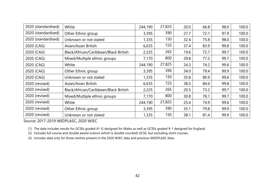| 2020 (standardised) | White                                 | 244,190 | 27,825 | 20.0 | 66.8 | 98.0 | 100.0 |
|---------------------|---------------------------------------|---------|--------|------|------|------|-------|
| 2020 (standardised) | Other Ethnic group                    | 3,395   | 390    | 27.7 | 72.1 | 97.9 | 100.0 |
| 2020 (standardised) | Unknown or not stated                 | 1,335   | 150    | 32.4 | 75.8 | 98.0 | 100.0 |
| 2020 (CAG)          | Asian/Asian British                   | 6,635   | 725    | 37.4 | 83.9 | 99.8 | 100.0 |
| 2020 (CAG)          | Black/African/Caribbean/Black British | 2,225   | 265    | 19.6 | 72.7 | 99.7 | 100.0 |
| 2020 (CAG)          | Mixed/Multiple ethnic groups          | 7,170   | 800    | 29.8 | 77.2 | 99.7 | 100.0 |
| 2020 (CAG)          | White                                 | 244,190 | 27,825 | 24.3 | 74.2 | 99.6 | 100.0 |
| 2020 (CAG)          | Other Ethnic group                    | 3,395   | 390    | 34.0 | 79.4 | 99.9 | 100.0 |
| 2020 (CAG)          | Unknown or not stated                 | 1,335   | 150    | 35.8 | 80.9 | 99.6 | 100.0 |
| 2020 (revised)      | Asian/Asian British                   | 6,635   | 725    | 38.5 | 84.4 | 99.8 | 100.0 |
| 2020 (revised)      | Black/African/Caribbean/Black British | 2,225   | 265    | 20.5 | 73.2 | 99.7 | 100.0 |
| 2020 (revised)      | Mixed/Multiple ethnic groups          | 7,170   | 800    | 30.8 | 78.1 | 99.7 | 100.0 |
| 2020 (revised)      | White                                 | 244,190 | 27,825 | 25.4 | 74.9 | 99.6 | 100.0 |
| 2020 (revised)      | Other Ethnic group                    | 3,395   | 390    | 35.1 | 79.8 | 99.9 | 100.0 |
| 2020 (revised)      | Unknown or not stated                 | 1,335   | 150    | 38.1 | 81.4 | 99.9 | 100.0 |

Source: 2017-2019 WEDPLASC, 2020 WJEC

(1) The data includes results for GCSEs graded A\*-G designed for Wales as well as GCSEs graded 9-1 designed for England.

(2) Includes full course and double award science (which is double counted) GCSE, but excluding short courses.

(3) Includes data only for those centres present in the 2020 WJEC data and previous WEDPLASC data.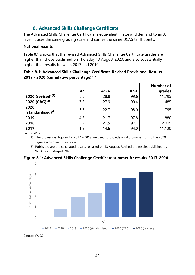# **8. Advanced Skills Challenge Certificate**

<span id="page-42-0"></span>The Advanced Skills Challenge Certificate is equivalent in size and demand to an A level. It uses the same grading scale and carries the same UCAS tariff points.

## <span id="page-42-1"></span>**National results**

Table 8.1 shows that the revised Advanced Skills Challenge Certificate grades are higher than those published on Thursday 13 August 2020, and also substantially higher than results between 2017 and 2019.

## **Table 8.1: Advanced Skills Challenge Certificate Revised Provisional Results 2017 - 2020 (cumulative percentage) (1)**

|                               |       |           |          | <b>Number of</b> |
|-------------------------------|-------|-----------|----------|------------------|
|                               | $A^*$ | $A^* - A$ | $A^*$ -E | grades           |
| 2020 (revised) $(2)$          | 8.5   | 28.8      | 99.6     | 11,795           |
| 2020 (CAG) <sup>(2)</sup>     | 7.3   | 27.9      | 99.4     | 11,485           |
| 2020<br>$(statardised)^{(2)}$ | 6.5   | 22.7      | 98.0     | 11,795           |
| 2019                          | 4.6   | 21.7      | 97.8     | 11,880           |
| 2018                          | 3.9   | 21.5      | 97.7     | 12,015           |
| 2017                          | 1.5   | 14.6      | 94.0     | 11,120           |

Source: WJEC

(1) The provisional figures for 2017 – 2019 are used to provide a valid comparison to the 2020 figures which are provisional

(2) Published are the calculated results released on 13 August. Revised are results published by WJEC on 20 August 2020.



Source: WJEC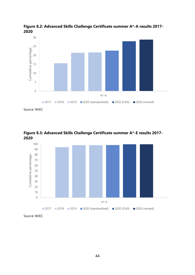



Source: WJEC



**Figure 8.3: Advanced Skills Challenge Certificate summer A\*-E results 2017-** 

Source: WJEC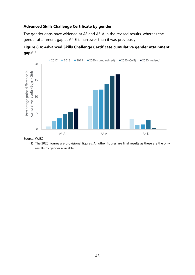## **Advanced Skills Challenge Certificate by gender**

The gender gaps have widened at  $A^*$  and  $A^*$ -A in the revised results, whereas the gender attainment gap at A\*-E is narrower than it was previously.





Source: WJEC

(1) The 2020 figures are provisional figures. All other figures are final results as these are the only results by gender available.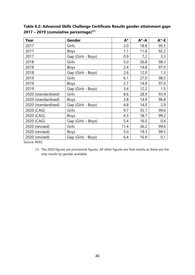| Year                | Gender             | A*   | $A^* - A$ | $A^*$ -E |
|---------------------|--------------------|------|-----------|----------|
| 2017                | Girls              | 2.0  | 18.8      | 95.5     |
| 2017                | <b>Boys</b>        | 1.1  | 11.6      | 92.2     |
| 2017                | Gap (Girls - Boys) | 0.9  | 7.2       | 3.3      |
| 2018                | Girls              | 5.0  | 26.8      | 98.3     |
| 2018                | Boys               | 2.4  | 14.8      | 97.0     |
| 2018                | Gap (Girls - Boys) | 2.6  | 12.0      | 1.3      |
| 2019                | Girls              | 6.1  | 27.0      | 98.5     |
| 2019                | <b>Boys</b>        | 2.7  | 14.8      | 97.0     |
| 2019                | Gap (Girls - Boys) | 3.4  | 12.2      | 1.5      |
| 2020 (standardised) | Girls              | 8.6  | 28.9      | 93.9     |
| 2020 (standardised) | <b>Boys</b>        | 3.8  | 14.9      | 96.8     |
| 2020 (standardised) | Gap (Girls - Boys) | 4.8  | 14.0      | 2.9      |
| 2020 (CAG)          | Girls              | 9.7  | 35.1      | 99.6     |
| 2020 (CAG)          | <b>Boys</b>        | 4.3  | 18.7      | 99.2     |
| 2020 (CAG)          | Gap (Girls – Boys) | 5.4  | 16.5      | 0.4      |
| 2020 (revised)      | Girls              | 11.4 | 36.2      | 99.6     |
| 2020 (revised)      | <b>Boys</b>        | 5.0  | 19.3      | 99.5     |
| 2020 (revised)      | Gap (Girls - Boys) | 6.4  | 16.9      | 0.1      |

**Table 8.2: Advanced Skills Challenge Certificate Results gender attainment gaps 2017 – 2019 (cumulative percentage)(1)**

Source: WJEC

(1) The 2020 figures are provisional figures. All other figures are final results as these are the only results by gender available.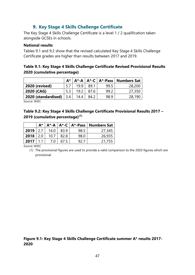# **9. Key Stage 4 Skills Challenge Certificate**

<span id="page-46-0"></span>The Key Stage 4 Skills Challenge Certificate is a level 1 / 2 qualification taken alongside GCSEs in schools.

#### <span id="page-46-1"></span>**National results**

Tables 9.1 and 9.2 show that the revised calculated Key Stage 4 Skills Challenge Certificate grades are higher than results between 2017 and 2019.

## **Table 9.1: Key Stage 4 Skills Challenge Certificate Revised Provisional Results 2020 (cumulative percentage)**

|                     | Δ*  |      |      |      | A*-A   A*-C   A*-Pass   Numbers Sat |
|---------------------|-----|------|------|------|-------------------------------------|
| 2020 (revised)      |     | 19.9 | 89.1 | 99.5 | 28,200                              |
| 2020 (CAG)          |     | 192  | 87.6 | 99.2 | 27,350                              |
| 2020 (standardised) | 3.4 | 14.4 | 84.2 | 98.9 | 28,190                              |

Source: WJEC

## **Table 9.2: Key Stage 4 Skills Challenge Certificate Provisional Results 2017 – 2019 (cumulative percentage)(1)**

|      | $A^*$ |      |      |      | A*-A   A*-C   A*-Pass   Numbers Sat |
|------|-------|------|------|------|-------------------------------------|
| 2019 | 2.7   | 14.0 | 83.9 | 98.5 | 27,345                              |
| 2018 | 2.0   | 10.7 | 82.8 | 98.0 | 26,935                              |
| 2017 |       | 7.0  | 67.5 | 92 7 | 21,755                              |

Source: WJEC

(1) The provisional figures are used to provide a valid comparison to the 2020 figures which are provisional

**Figure 9.1: Key Stage 4 Skills Challenge Certificate summer A\* results 2017- 2020**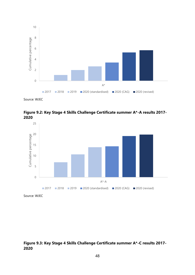







Source: WJEC

## **Figure 9.3: Key Stage 4 Skills Challenge Certificate summer A\*-C results 2017-**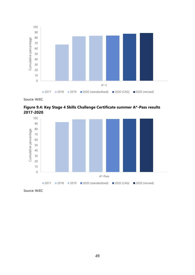



**Figure 9.4: Key Stage 4 Skills Challenge Certificate summer A\*-Pass results 2017-2020**



Source: WJEC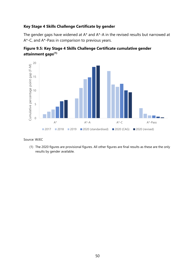## **Key Stage 4 Skills Challenge Certificate by gender**

The gender gaps have widened at  $A^*$  and  $A^*$ -A in the revised results but narrowed at A\*-C, and A\*-Pass in comparison to previous years.





Source: WJEC

(1) The 2020 figures are provisional figures. All other figures are final results as these are the only results by gender available.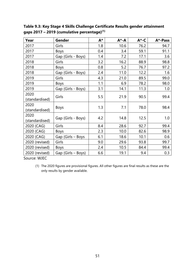| Year           | Gender             | A*  | $A^* - A$ | $A^*$ -C | A*-Pass |
|----------------|--------------------|-----|-----------|----------|---------|
| 2017           | Girls              | 1.8 | 10.6      | 76.2     | 94.7    |
| 2017           | <b>Boys</b>        | 0.4 | 3.4       | 59.1     | 91.1    |
| 2017           | Gap (Girls - Boys) | 1.4 | 7.2       | 17.1     | 3.6     |
| 2018           | Girls              | 3.2 | 16.2      | 88.9     | 98.8    |
| 2018           | <b>Boys</b>        | 0.8 | 5.2       | 76.7     | 97.2    |
| 2018           | Gap (Girls - Boys) | 2.4 | 11.0      | 12.2     | 1.6     |
| 2019           | Girls              | 4.3 | 21.0      | 89.5     | 99.0    |
| 2019           | <b>Boys</b>        | 1.1 | 6.9       | 78.2     | 98.0    |
| 2019           | Gap (Girls - Boys) | 3.1 | 14.1      | 11.3     | 1.0     |
| 2020           | Girls              | 5.5 | 21.9      | 90.5     | 99.4    |
| (standardised) |                    |     |           |          |         |
| 2020           | Boys               | 1.3 | 7.1       | 78.0     | 98.4    |
| (standardised) |                    |     |           |          |         |
| 2020           | Gap (Girls - Boys) | 4.2 | 14.8      | 12.5     | 1.0     |
| (standardised) |                    |     |           |          |         |
| 2020 (CAG)     | Girls              | 8.4 | 28.6      | 92.7     | 99.4    |
| 2020 (CAG)     | <b>Boys</b>        | 2.3 | 10.0      | 82.6     | 98.9    |
| 2020 (CAG)     | Gap (Girls - Boys  | 6.1 | 18.6      | 10.1     | 0.6     |
| 2020 (revised) | Girls              | 9.0 | 29.6      | 93.8     | 99.7    |
| 2020 (revised) | <b>Boys</b>        | 2.4 | 10.5      | 84.4     | 99.4    |
| 2020 (revised) | Gap (Girls – Boys) | 6.6 | 19.1      | 9.4      | 0.3     |

**Table 9.3: Key Stage 4 Skills Challenge Certificate Results gender attainment gaps 2017 – 2019 (cumulative percentage)(1)**

Source: WJEC

<sup>(1)</sup> The 2020 figures are provisional figures. All other figures are final results as these are the only results by gender available.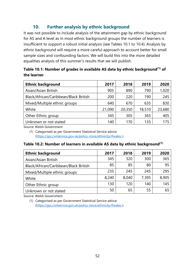# **10. Further analysis by ethnic background**

<span id="page-51-0"></span>It was not possible to include analysis of the attainment gap by ethnic background for AS and A level as in most ethnic background groups the number of learners is insufficient to support a robust initial analysis (see Tables 10.1 to 10.4). Analysis by ethnic background will require a more careful approach to account better for small sample sizes and confounding factors. We will build this into the more detailed equalities analysis of this summer's results that we will publish.

## **Table 10.1: Number of grades in available AS data by ethnic background(1) of the learner**

| <b>Ethnic background</b>              | 2017   | 2018   | 2019   | 2020   |
|---------------------------------------|--------|--------|--------|--------|
| Asian/Asian British                   | 905    | 890    | 790    | 1,020  |
| Black/African/Caribbean/Black British | 200    | 220    | 190    | 245    |
| Mixed/Multiple ethnic groups          | 640    | 670    | 635    | 830    |
| White                                 | 21,090 | 20,350 | 18,510 | 23,680 |
| Other Ethnic group                    | 345    | 305    | 365    | 405    |
| Unknown or not stated                 | 140    | 170    | 135    | 175    |

Source: Welsh Government

(1) Categorised as per Government Statistical Service advice [\(https://gss.civilservice.gov.uk/policy-store/ethnicity/#wales-\)](https://gss.civilservice.gov.uk/policy-store/ethnicity/#wales-).

#### **Table 10.2: Number of learners in available AS data by ethnic background(1)**

| <b>Ethnic background</b>              | 2017  | 2018  | 2019  | 2020  |
|---------------------------------------|-------|-------|-------|-------|
| Asian/Asian British                   | 345   | 320   | 300   | 365   |
| Black/African/Caribbean/Black British | 85    | 85    | 80    | 95    |
| Mixed/Multiple ethnic groups          | 235   | 245   | 245   | 295   |
| White                                 | 8,240 | 8,040 | 7,395 | 8,905 |
| Other Ethnic group                    | 130   | 120   | 140   | 145   |
| Unknown or not stated                 | 50    | 65    | 55    | 65    |

Source: Welsh Government

(1) Categorised as per Government Statistical Service advice [\(https://gss.civilservice.gov.uk/policy-store/ethnicity/#wales-\)](https://gss.civilservice.gov.uk/policy-store/ethnicity/#wales-).